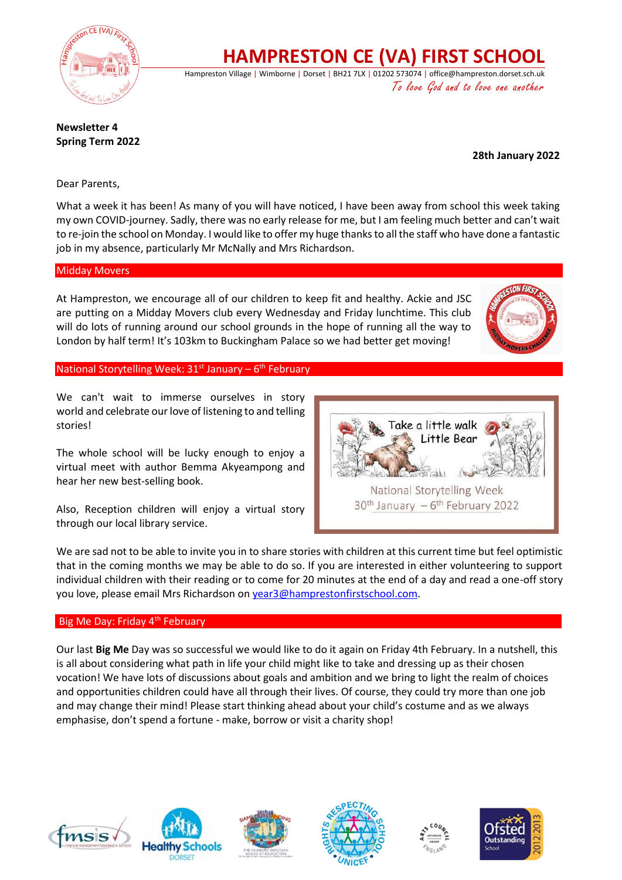

**HAMPRESTON CE (VA) FIRST SCHOOL**

Hampreston Village | Wimborne | Dorset | BH21 7LX | 01202 573074 | office@hampreston.dorset.sch.uk To love God and to love one another

**Newsletter 4 Spring Term 2022**

 **28th January 2022**

Dear Parents,

What a week it has been! As many of you will have noticed, I have been away from school this week taking my own COVID-journey. Sadly, there was no early release for me, but I am feeling much better and can't wait to re-join the school on Monday. I would like to offer my huge thanks to all the staff who have done a fantastic job in my absence, particularly Mr McNally and Mrs Richardson.

### Midday Movers

At Hampreston, we encourage all of our children to keep fit and healthy. Ackie and JSC are putting on a Midday Movers club every Wednesday and Friday lunchtime. This club will do lots of running around our school grounds in the hope of running all the way to London by half term! It's 103km to Buckingham Palace so we had better get moving!



National Storytelling Week: 31<sup>st</sup> January - 6<sup>th</sup> February

We can't wait to immerse ourselves in story world and celebrate our love of listening to and telling stories!

The whole school will be lucky enough to enjoy a virtual meet with author Bemma Akyeampong and hear her new best-selling book.

Also, Reception children will enjoy a virtual story through our local library service.



We are sad not to be able to invite you in to share stories with children at this current time but feel optimistic that in the coming months we may be able to do so. If you are interested in either volunteering to support individual children with their reading or to come for 20 minutes at the end of a day and read a one-off story you love, please email Mrs Richardson o[n year3@hamprestonfirstschool.com.](mailto:year3@hamprestonfirstschool.com)

## Big Me Day: Friday 4<sup>th</sup> February

Our last **Big Me** Day was so successful we would like to do it again on Friday 4th February. In a nutshell, this is all about considering what path in life your child might like to take and dressing up as their chosen vocation! We have lots of discussions about goals and ambition and we bring to light the realm of choices and opportunities children could have all through their lives. Of course, they could try more than one job and may change their mind! Please start thinking ahead about your child's costume and as we always emphasise, don't spend a fortune - make, borrow or visit a charity shop!









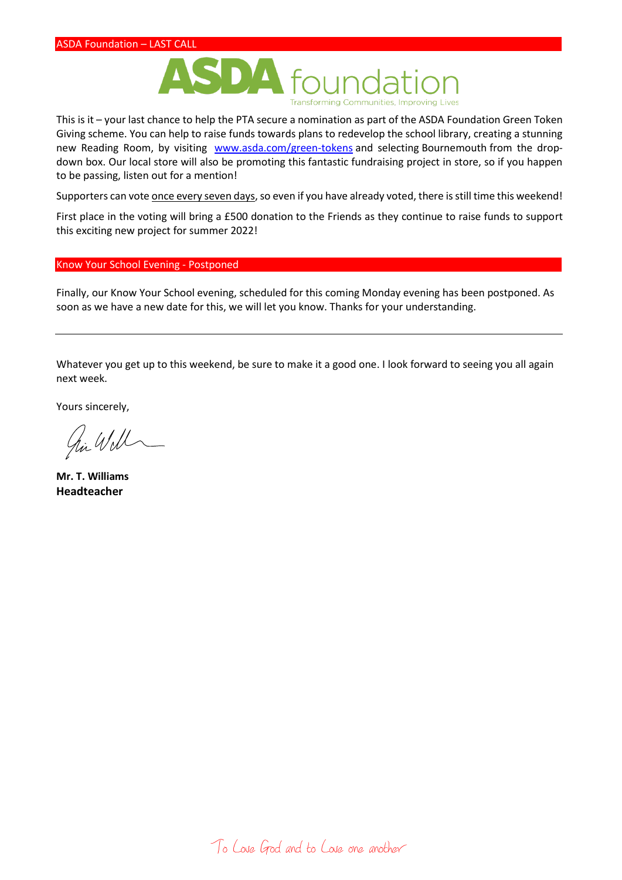

This is it – your last chance to help the PTA secure a nomination as part of the ASDA Foundation Green Token Giving scheme. You can help to raise funds towards plans to redevelop the school library, creating a stunning new Reading Room, by visiting [www.asda.com/green-tokens](http://www.asda.com/green-tokens) and selecting Bournemouth from the dropdown box. Our local store will also be promoting this fantastic fundraising project in store, so if you happen to be passing, listen out for a mention!

Supporters can vote once every seven days, so even if you have already voted, there is still time this weekend!

First place in the voting will bring a £500 donation to the Friends as they continue to raise funds to support this exciting new project for summer 2022!

#### Know Your School Evening - Postponed

Finally, our Know Your School evening, scheduled for this coming Monday evening has been postponed. As soon as we have a new date for this, we will let you know. Thanks for your understanding.

Whatever you get up to this weekend, be sure to make it a good one. I look forward to seeing you all again next week.

Yours sincerely,

hi Will

**Mr. T. Williams Headteacher**

To Love God and to Love one another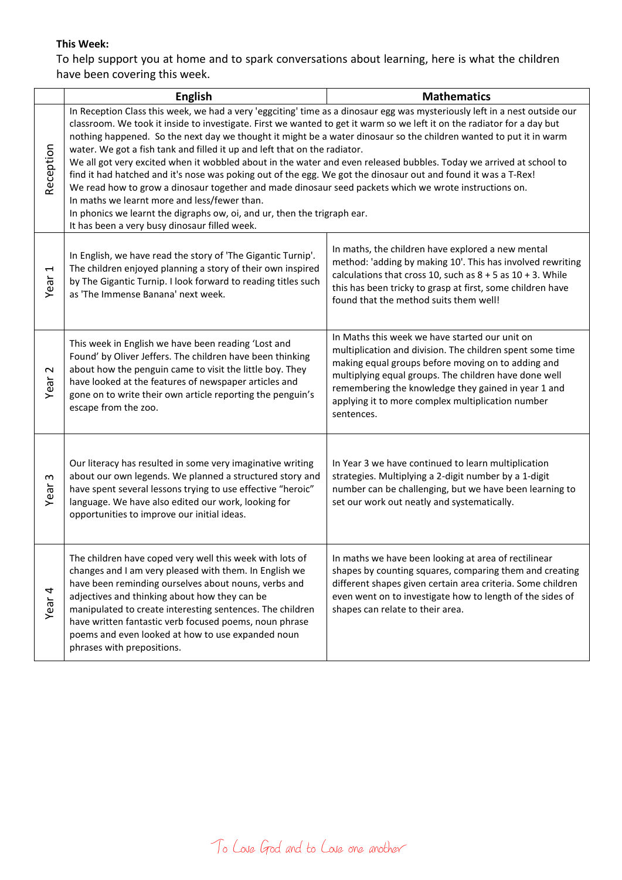## **This Week:**

To help support you at home and to spark conversations about learning, here is what the children have been covering this week.

|                   | <b>English</b>                                                                                                                                                                                                                                                                                                                                                                                                                                                                                                                                                                                                                                                                                                                                                                                                                                                                                                                                                                           | <b>Mathematics</b>                                                                                                                                                                                                                                                                                                                                   |
|-------------------|------------------------------------------------------------------------------------------------------------------------------------------------------------------------------------------------------------------------------------------------------------------------------------------------------------------------------------------------------------------------------------------------------------------------------------------------------------------------------------------------------------------------------------------------------------------------------------------------------------------------------------------------------------------------------------------------------------------------------------------------------------------------------------------------------------------------------------------------------------------------------------------------------------------------------------------------------------------------------------------|------------------------------------------------------------------------------------------------------------------------------------------------------------------------------------------------------------------------------------------------------------------------------------------------------------------------------------------------------|
| Reception         | In Reception Class this week, we had a very 'eggciting' time as a dinosaur egg was mysteriously left in a nest outside our<br>classroom. We took it inside to investigate. First we wanted to get it warm so we left it on the radiator for a day but<br>nothing happened. So the next day we thought it might be a water dinosaur so the children wanted to put it in warm<br>water. We got a fish tank and filled it up and left that on the radiator.<br>We all got very excited when it wobbled about in the water and even released bubbles. Today we arrived at school to<br>find it had hatched and it's nose was poking out of the egg. We got the dinosaur out and found it was a T-Rex!<br>We read how to grow a dinosaur together and made dinosaur seed packets which we wrote instructions on.<br>In maths we learnt more and less/fewer than.<br>In phonics we learnt the digraphs ow, oi, and ur, then the trigraph ear.<br>It has been a very busy dinosaur filled week. |                                                                                                                                                                                                                                                                                                                                                      |
| Ţ<br>Year         | In English, we have read the story of 'The Gigantic Turnip'.<br>The children enjoyed planning a story of their own inspired<br>by The Gigantic Turnip. I look forward to reading titles such<br>as 'The Immense Banana' next week.                                                                                                                                                                                                                                                                                                                                                                                                                                                                                                                                                                                                                                                                                                                                                       | In maths, the children have explored a new mental<br>method: 'adding by making 10'. This has involved rewriting<br>calculations that cross 10, such as $8 + 5$ as $10 + 3$ . While<br>this has been tricky to grasp at first, some children have<br>found that the method suits them well!                                                           |
| $\sim$<br>Year    | This week in English we have been reading 'Lost and<br>Found' by Oliver Jeffers. The children have been thinking<br>about how the penguin came to visit the little boy. They<br>have looked at the features of newspaper articles and<br>gone on to write their own article reporting the penguin's<br>escape from the zoo.                                                                                                                                                                                                                                                                                                                                                                                                                                                                                                                                                                                                                                                              | In Maths this week we have started our unit on<br>multiplication and division. The children spent some time<br>making equal groups before moving on to adding and<br>multiplying equal groups. The children have done well<br>remembering the knowledge they gained in year 1 and<br>applying it to more complex multiplication number<br>sentences. |
| w<br>Year         | Our literacy has resulted in some very imaginative writing<br>about our own legends. We planned a structured story and<br>have spent several lessons trying to use effective "heroic"<br>language. We have also edited our work, looking for<br>opportunities to improve our initial ideas.                                                                                                                                                                                                                                                                                                                                                                                                                                                                                                                                                                                                                                                                                              | In Year 3 we have continued to learn multiplication<br>strategies. Multiplying a 2-digit number by a 1-digit<br>number can be challenging, but we have been learning to<br>set our work out neatly and systematically.                                                                                                                               |
| Year <sub>4</sub> | The children have coped very well this week with lots of<br>changes and I am very pleased with them. In English we<br>have been reminding ourselves about nouns, verbs and<br>adjectives and thinking about how they can be<br>manipulated to create interesting sentences. The children<br>have written fantastic verb focused poems, noun phrase<br>poems and even looked at how to use expanded noun<br>phrases with prepositions.                                                                                                                                                                                                                                                                                                                                                                                                                                                                                                                                                    | In maths we have been looking at area of rectilinear<br>shapes by counting squares, comparing them and creating<br>different shapes given certain area criteria. Some children<br>even went on to investigate how to length of the sides of<br>shapes can relate to their area.                                                                      |

To Love God and to Love one another